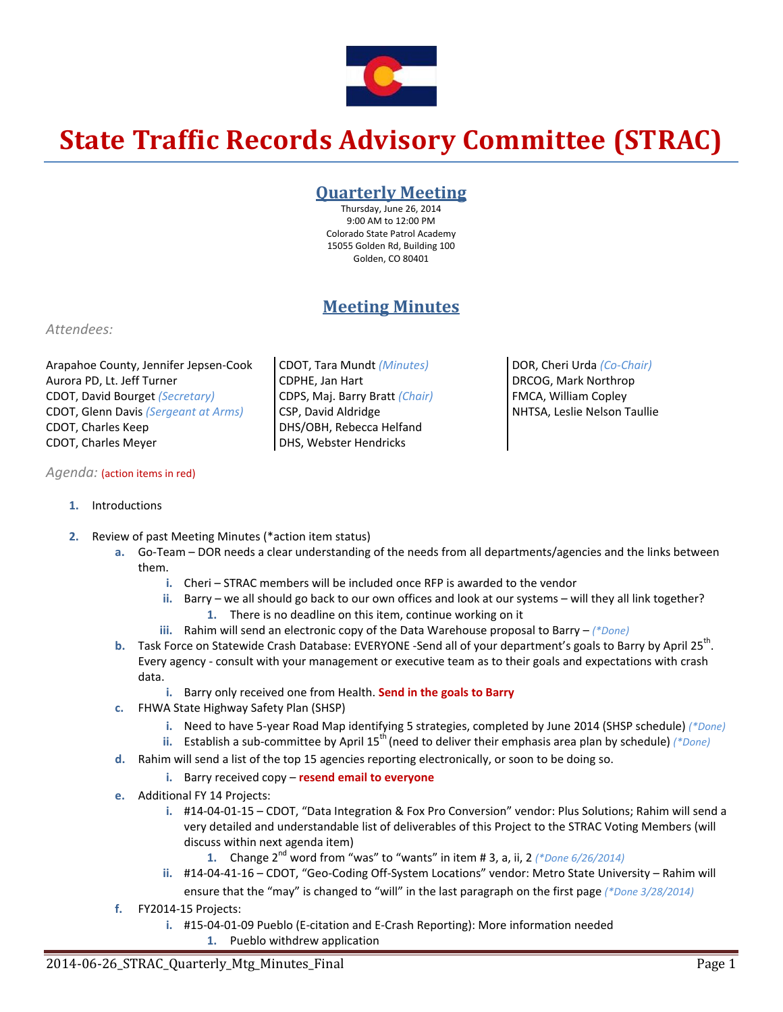

# **State Traffic Records Advisory Committee (STRAC)**

### **Quarterly Meeting**

Thursday, June 26, 2014 9:00 AM to 12:00 PM Colorado State Patrol Academy 15055 Golden Rd, Building 100 Golden, CO 80401

## **Meeting Minutes**

#### *Attendees:*

Arapahoe County, Jennifer Jepsen‐Cook Aurora PD, Lt. Jeff Turner CDOT, David Bourget *(Secretary)* CDOT, Glenn Davis *(Sergeant at Arms)* CDOT, Charles Keep CDOT, Charles Meyer

#### *Agenda:* (action items in red)

CDOT, Tara Mundt *(Minutes)* CDPHE, Jan Hart CDPS, Maj. Barry Bratt *(Chair)* CSP, David Aldridge DHS/OBH, Rebecca Helfand DHS, Webster Hendricks

DOR, Cheri Urda *(Co‐Chair)* DRCOG, Mark Northrop FMCA, William Copley NHTSA, Leslie Nelson Taullie

- **1.** Introductions
- **2.** Review of past Meeting Minutes (\*action item status)
	- **a.** Go‐Team DOR needs a clear understanding of the needs from all departments/agencies and the links between them.
		- **i.** Cheri STRAC members will be included once RFP is awarded to the vendor
		- **ii.** Barry we all should go back to our own offices and look at our systems will they all link together? **1.** There is no deadline on this item, continue working on it
		- **iii.** Rahim will send an electronic copy of the Data Warehouse proposal to Barry *(\*Done)*
	- **b.** Task Force on Statewide Crash Database: EVERYONE -Send all of your department's goals to Barry by April 25<sup>th</sup>. Every agency ‐ consult with your management or executive team as to their goals and expectations with crash data.
		- **i.** Barry only received one from Health. **Send in the goals to Barry**
	- **c.** FHWA State Highway Safety Plan (SHSP)
		- **i.** Need to have 5‐year Road Map identifying 5 strategies, completed by June 2014 (SHSP schedule) *(\*Done)*
		- **ii.** Establish a sub‐committee by April 15th (need to deliver their emphasis area plan by schedule) *(\*Done)*
	- **d.** Rahim will send a list of the top 15 agencies reporting electronically, or soon to be doing so.
		- **i.** Barry received copy **resend email to everyone**
	- **e.** Additional FY 14 Projects:
		- **i.** #14‐04‐01‐15 CDOT, "Data Integration & Fox Pro Conversion" vendor: Plus Solutions; Rahim will send a very detailed and understandable list of deliverables of this Project to the STRAC Voting Members (will discuss within next agenda item)
			- **1.** Change 2nd word from "was" to "wants" in item # 3, a, ii, 2 *(\*Done 6/26/2014)*
		- **ii.** #14‐04‐41‐16 CDOT, "Geo‐Coding Off‐System Locations" vendor: Metro State University Rahim will ensure that the "may" is changed to "will" in the last paragraph on the first page *(\*Done 3/28/2014)*
	- **f.** FY2014‐15 Projects:
		- **i.** #15‐04‐01‐09 Pueblo (E‐citation and E‐Crash Reporting): More information needed
			- **1.** Pueblo withdrew application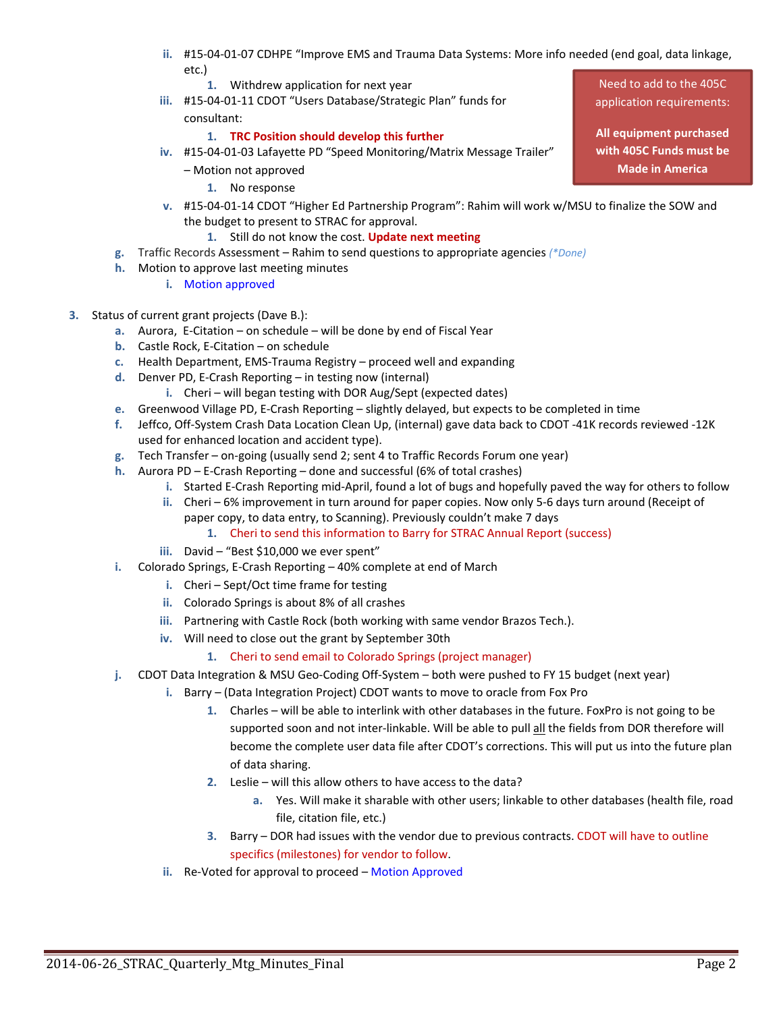- **ii.** #15‐04‐01‐07 CDHPE "Improve EMS and Trauma Data Systems: More info needed (end goal, data linkage, etc.)
	- **1.** Withdrew application for next year
- **iii.** #15‐04‐01‐11 CDOT "Users Database/Strategic Plan" funds for consultant:

#### **1. TRC Position should develop this further**

- **iv.** #15‐04‐01‐03 Lafayette PD "Speed Monitoring/Matrix Message Trailer"
	- Motion not approved
		- **1.** No response
- **v.** #15‐04‐01‐14 CDOT "Higher Ed Partnership Program": Rahim will work w/MSU to finalize the SOW and the budget to present to STRAC for approval.
	- **1.** Still do not know the cost. **Update next meeting**
- **g.** Traffic Records Assessment Rahim to send questions to appropriate agencies *(\*Done)*
- **h.** Motion to approve last meeting minutes
	- **i.** Motion approved
- **3.** Status of current grant projects (Dave B.):
	- **a.** Aurora, E‐Citation on schedule will be done by end of Fiscal Year
	- **b.** Castle Rock, E‐Citation on schedule
	- **c.** Health Department, EMS‐Trauma Registry proceed well and expanding
	- **d.** Denver PD, E‐Crash Reporting in testing now (internal)
		- **i.** Cheri will began testing with DOR Aug/Sept (expected dates)
	- **e.** Greenwood Village PD, E‐Crash Reporting slightly delayed, but expects to be completed in time
	- **f.** Jeffco, Off‐System Crash Data Location Clean Up, (internal) gave data back to CDOT ‐41K records reviewed ‐12K used for enhanced location and accident type).
	- **g.** Tech Transfer on‐going (usually send 2; sent 4 to Traffic Records Forum one year)
	- **h.** Aurora PD E‐Crash Reporting done and successful (6% of total crashes)
		- **i.** Started E‐Crash Reporting mid‐April, found a lot of bugs and hopefully paved the way for others to follow
		- **ii.** Cheri 6% improvement in turn around for paper copies. Now only 5‐6 days turn around (Receipt of paper copy, to data entry, to Scanning). Previously couldn't make 7 days
			- **1.** Cheri to send this information to Barry for STRAC Annual Report (success)
		- iii. David "Best \$10,000 we ever spent"
	- **i.** Colorado Springs, E‐Crash Reporting 40% complete at end of March
		- **i.** Cheri Sept/Oct time frame for testing
		- **ii.** Colorado Springs is about 8% of all crashes
		- **iii.** Partnering with Castle Rock (both working with same vendor Brazos Tech.).
		- **iv.** Will need to close out the grant by September 30th
			- **1.** Cheri to send email to Colorado Springs (project manager)
	- **j.** CDOT Data Integration & MSU Geo‐Coding Off‐System both were pushed to FY 15 budget (next year)
		- **i.** Barry (Data Integration Project) CDOT wants to move to oracle from Fox Pro
			- **1.** Charles will be able to interlink with other databases in the future. FoxPro is not going to be supported soon and not inter-linkable. Will be able to pull all the fields from DOR therefore will become the complete user data file after CDOT's corrections. This will put us into the future plan of data sharing.
			- **2.** Leslie will this allow others to have access to the data?
				- **a.** Yes. Will make it sharable with other users; linkable to other databases (health file, road file, citation file, etc.)
			- **3.** Barry DOR had issues with the vendor due to previous contracts. CDOT will have to outline specifics (milestones) for vendor to follow.
		- **ii.** Re-Voted for approval to proceed Motion Approved

Need to add to the 405C application requirements:

**All equipment purchased with 405C Funds must be Made in America**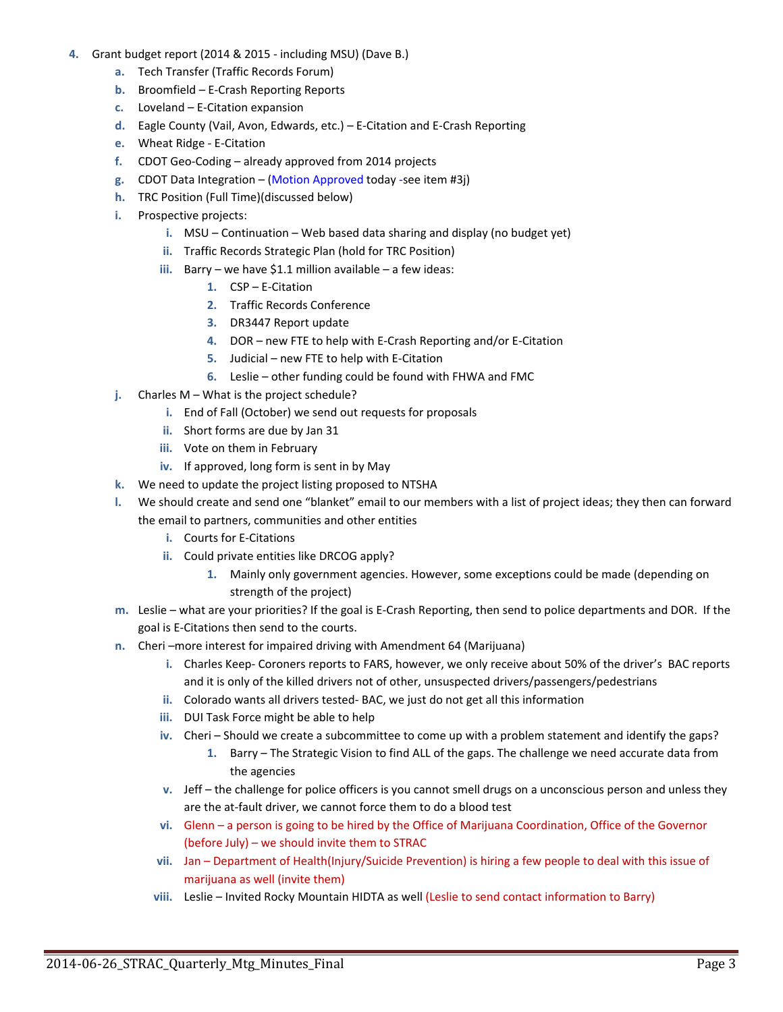#### **4.** Grant budget report (2014 & 2015 ‐ including MSU) (Dave B.)

- **a.** Tech Transfer (Traffic Records Forum)
- **b.** Broomfield E‐Crash Reporting Reports
- **c.** Loveland E‐Citation expansion
- **d.** Eagle County (Vail, Avon, Edwards, etc.) E‐Citation and E‐Crash Reporting
- **e.** Wheat Ridge ‐ E‐Citation
- **f.** CDOT Geo‐Coding already approved from 2014 projects
- **g.** CDOT Data Integration (Motion Approved today ‐see item #3j)
- **h.** TRC Position (Full Time)(discussed below)
- **i.** Prospective projects:
	- **i.** MSU Continuation Web based data sharing and display (no budget yet)
	- **ii.** Traffic Records Strategic Plan (hold for TRC Position)
	- **iii.** Barry we have \$1.1 million available a few ideas:
		- **1.** CSP E‐Citation
		- **2.** Traffic Records Conference
		- **3.** DR3447 Report update
		- **4.** DOR new FTE to help with E‐Crash Reporting and/or E‐Citation
		- **5.** Judicial new FTE to help with E‐Citation
		- **6.** Leslie other funding could be found with FHWA and FMC
- **j.** Charles M What is the project schedule?
	- **i.** End of Fall (October) we send out requests for proposals
	- **ii.** Short forms are due by Jan 31
	- **iii.** Vote on them in February
	- **iv.** If approved, long form is sent in by May
- **k.** We need to update the project listing proposed to NTSHA
- **l.** We should create and send one "blanket" email to our members with a list of project ideas; they then can forward the email to partners, communities and other entities
	- **i.** Courts for E‐Citations
	- **ii.** Could private entities like DRCOG apply?
		- **1.** Mainly only government agencies. However, some exceptions could be made (depending on strength of the project)
- **m.** Leslie what are your priorities? If the goal is E‐Crash Reporting, then send to police departments and DOR. If the goal is E‐Citations then send to the courts.
- **n.** Cheri –more interest for impaired driving with Amendment 64 (Marijuana)
	- **i.** Charles Keep‐ Coroners reports to FARS, however, we only receive about 50% of the driver's BAC reports and it is only of the killed drivers not of other, unsuspected drivers/passengers/pedestrians
	- **ii.** Colorado wants all drivers tested‐ BAC, we just do not get all this information
	- **iii.** DUI Task Force might be able to help
	- **iv.** Cheri Should we create a subcommittee to come up with a problem statement and identify the gaps?
		- **1.** Barry The Strategic Vision to find ALL of the gaps. The challenge we need accurate data from the agencies
	- **v.** Jeff the challenge for police officers is you cannot smell drugs on a unconscious person and unless they are the at-fault driver, we cannot force them to do a blood test
	- **vi.** Glenn a person is going to be hired by the Office of Marijuana Coordination, Office of the Governor (before July) – we should invite them to STRAC
	- **vii.** Jan Department of Health(Injury/Suicide Prevention) is hiring a few people to deal with this issue of marijuana as well (invite them)
	- **viii.** Leslie Invited Rocky Mountain HIDTA as well (Leslie to send contact information to Barry)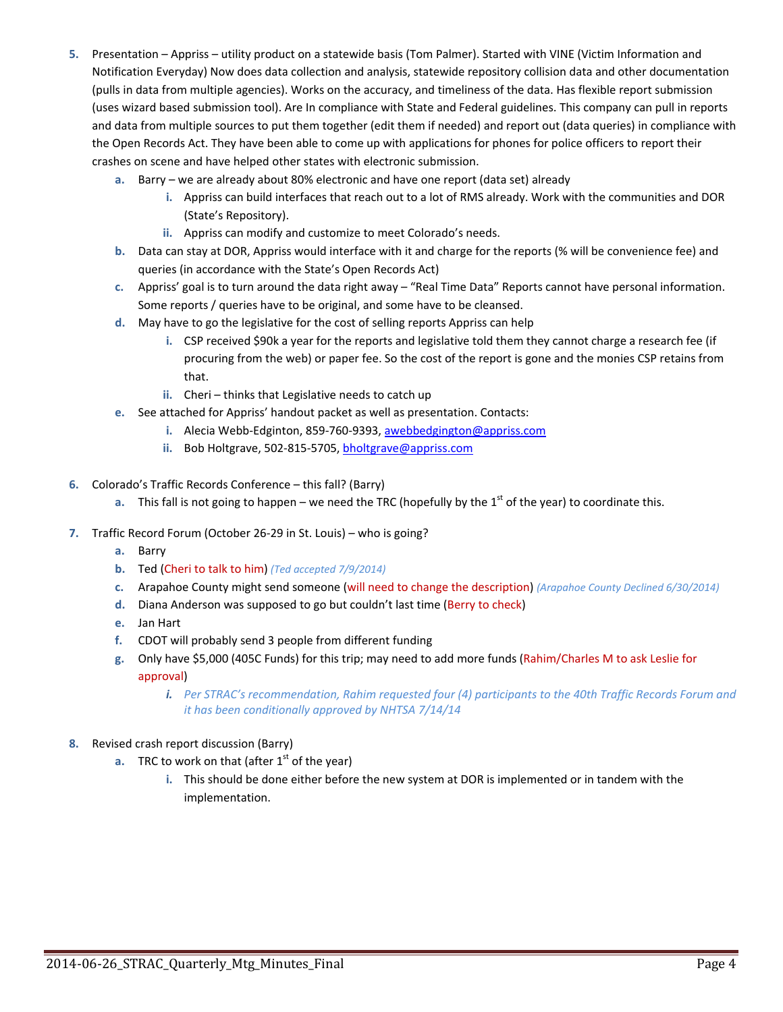- **5.** Presentation Appriss utility product on a statewide basis (Tom Palmer). Started with VINE (Victim Information and Notification Everyday) Now does data collection and analysis, statewide repository collision data and other documentation (pulls in data from multiple agencies). Works on the accuracy, and timeliness of the data. Has flexible report submission (uses wizard based submission tool). Are In compliance with State and Federal guidelines. This company can pull in reports and data from multiple sources to put them together (edit them if needed) and report out (data queries) in compliance with the Open Records Act. They have been able to come up with applications for phones for police officers to report their crashes on scene and have helped other states with electronic submission.
	- **a.** Barry we are already about 80% electronic and have one report (data set) already
		- **i.** Appriss can build interfaces that reach out to a lot of RMS already. Work with the communities and DOR (State's Repository).
		- **ii.** Appriss can modify and customize to meet Colorado's needs.
	- **b.** Data can stay at DOR, Appriss would interface with it and charge for the reports (% will be convenience fee) and queries (in accordance with the State's Open Records Act)
	- **c.** Appriss' goal is to turn around the data right away "Real Time Data" Reports cannot have personal information. Some reports / queries have to be original, and some have to be cleansed.
	- **d.** May have to go the legislative for the cost of selling reports Appriss can help
		- **i.** CSP received \$90k a year for the reports and legislative told them they cannot charge a research fee (if procuring from the web) or paper fee. So the cost of the report is gone and the monies CSP retains from that.
		- **ii.** Cheri thinks that Legislative needs to catch up
	- **e.** See attached for Appriss' handout packet as well as presentation. Contacts:
		- **i.** Alecia Webb‐Edginton, 859‐760‐9393, awebbedgington@appriss.com
		- **ii.** Bob Holtgrave, 502‐815‐5705, bholtgrave@appriss.com
- **6.** Colorado's Traffic Records Conference this fall? (Barry)
	- **a.** This fall is not going to happen we need the TRC (hopefully by the 1<sup>st</sup> of the year) to coordinate this.
- **7.** Traffic Record Forum (October 26‐29 in St. Louis) who is going?
	- **a.** Barry
	- **b.** Ted (Cheri to talk to him) *(Ted accepted 7/9/2014)*
	- **c.** Arapahoe County might send someone (will need to change the description) *(Arapahoe County Declined 6/30/2014)*
	- **d.** Diana Anderson was supposed to go but couldn't last time (Berry to check)
	- **e.** Jan Hart
	- **f.** CDOT will probably send 3 people from different funding
	- **g.** Only have \$5,000 (405C Funds) for this trip; may need to add more funds (Rahim/Charles M to ask Leslie for approval)
		- *i. Per STRAC's recommendation, Rahim requested four (4) participants to the 40th Traffic Records Forum and it has been conditionally approved by NHTSA 7/14/14*
- **8.** Revised crash report discussion (Barry)
	- **a.** TRC to work on that (after  $1<sup>st</sup>$  of the year)
		- **i.** This should be done either before the new system at DOR is implemented or in tandem with the implementation.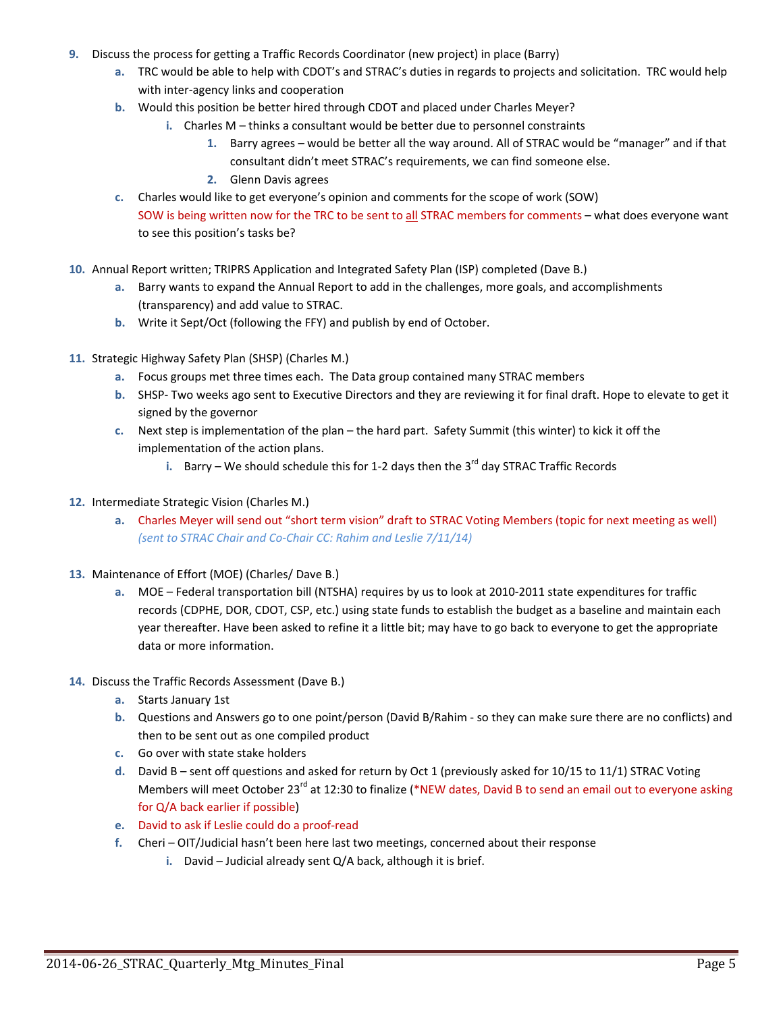- **9.** Discuss the process for getting a Traffic Records Coordinator (new project) in place (Barry)
	- **a.** TRC would be able to help with CDOT's and STRAC's duties in regards to projects and solicitation. TRC would help with inter‐agency links and cooperation
	- **b.** Would this position be better hired through CDOT and placed under Charles Meyer?
		- **i.** Charles M thinks a consultant would be better due to personnel constraints
			- **1.** Barry agrees would be better all the way around. All of STRAC would be "manager" and if that consultant didn't meet STRAC's requirements, we can find someone else.
			- **2.** Glenn Davis agrees
	- **c.** Charles would like to get everyone's opinion and comments for the scope of work (SOW) SOW is being written now for the TRC to be sent to all STRAC members for comments – what does everyone want to see this position's tasks be?
- **10.** Annual Report written; TRIPRS Application and Integrated Safety Plan (ISP) completed (Dave B.)
	- **a.** Barry wants to expand the Annual Report to add in the challenges, more goals, and accomplishments (transparency) and add value to STRAC.
	- **b.** Write it Sept/Oct (following the FFY) and publish by end of October.
- **11.** Strategic Highway Safety Plan (SHSP) (Charles M.)
	- **a.** Focus groups met three times each. The Data group contained many STRAC members
	- **b.** SHSP‐ Two weeks ago sent to Executive Directors and they are reviewing it for final draft. Hope to elevate to get it signed by the governor
	- **c.** Next step is implementation of the plan the hard part. Safety Summit (this winter) to kick it off the implementation of the action plans.
		- **i.** Barry We should schedule this for 1-2 days then the 3<sup>rd</sup> day STRAC Traffic Records
- **12.** Intermediate Strategic Vision (Charles M.)
	- **a.** Charles Meyer will send out "short term vision" draft to STRAC Voting Members (topic for next meeting as well) *(sent to STRAC Chair and Co‐Chair CC: Rahim and Leslie 7/11/14)*
- **13.** Maintenance of Effort (MOE) (Charles/ Dave B.)
	- **a.** MOE Federal transportation bill (NTSHA) requires by us to look at 2010‐2011 state expenditures for traffic records (CDPHE, DOR, CDOT, CSP, etc.) using state funds to establish the budget as a baseline and maintain each year thereafter. Have been asked to refine it a little bit; may have to go back to everyone to get the appropriate data or more information.
- **14.** Discuss the Traffic Records Assessment (Dave B.)
	- **a.** Starts January 1st
	- **b.** Questions and Answers go to one point/person (David B/Rahim ‐ so they can make sure there are no conflicts) and then to be sent out as one compiled product
	- **c.** Go over with state stake holders
	- **d.** David B sent off questions and asked for return by Oct 1 (previously asked for 10/15 to 11/1) STRAC Voting Members will meet October 23<sup>rd</sup> at 12:30 to finalize (\*NEW dates, David B to send an email out to everyone asking for Q/A back earlier if possible)
	- **e.** David to ask if Leslie could do a proof‐read
	- **f.** Cheri OIT/Judicial hasn't been here last two meetings, concerned about their response
		- **i.** David Judicial already sent Q/A back, although it is brief.